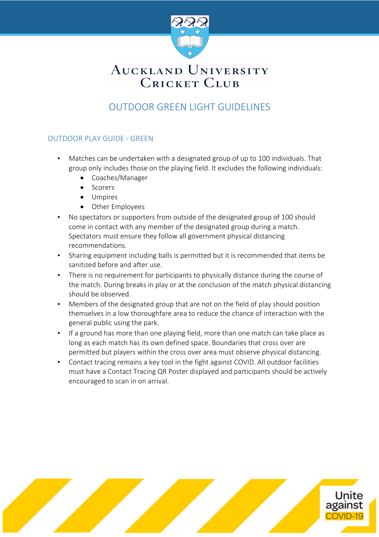

# AUCKLAND UNIVERSITY **CRICKET CLUB**

### OUTDOOR GREEN LIGHT GUIDELINES

#### OUTDOOR PLAY GUIDE - GREEN

- Matches can be undertaken with a designated group of up to 100 individuals. That group only includes those on the playing field. It excludes the following individuals:
	- Coaches/Manager
	- Scorers
	- Umpires
	- Other Employees
- No spectators or supporters from outside of the designated group of 100 should come in contact with any member of the designated group during a match. Spectators must ensure they follow all government physical distancing recommendations.
- Sharing equipment including balls is permitted but it is recommended that items be sanitized before and after use.
- There is no requirement for participants to physically distance during the course of the match. During breaks in play or at the conclusion of the match physical distancing should be observed.
- Members of the designated group that are not on the field of play should position themselves in a low thoroughfare area to reduce the chance of interaction with the general public using the park.
- If a ground has more than one playing field, more than one match can take place as long as each match has its own defined space. Boundaries that cross over are permitted but players within the cross over area must observe physical distancing.
- Contact tracing remains a key tool in the fight against COVID. All outdoor facilities must have a Contact Tracing QR Poster displayed and participants should be actively encouraged to scan in on arrival.